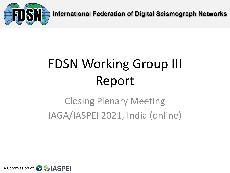

**International Federation of Digital Seismograph Networks**

# FDSN Working Group III Report

## Closing Plenary Meeting IAGA/IASPEI 2021, India (online)

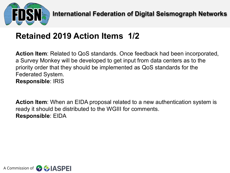

#### **Retained 2019 Action Items 1/2**

**Action Item**: Related to QoS standards. Once feedback had been incorporated, a Survey Monkey will be developed to get input from data centers as to the priority order that they should be implemented as QoS standards for the Federated System. **Responsible**: IRIS

**Action Item**: When an EIDA proposal related to a new authentication system is ready it should be distributed to the WGIII for comments. **Responsible**: EIDA

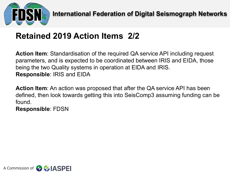

### **Retained 2019 Action Items 2/2**

**Action Item**: Standardisation of the required QA service API including request parameters, and is expected to be coordinated between IRIS and EIDA, those being the two Quality systems in operation at EIDA and IRIS. **Responsible**: IRIS and EIDA

**Action Item**: An action was proposed that after the QA service API has been defined, then look towards getting this into SeisComp3 assuming funding can be found.

**Responsible**: FDSN

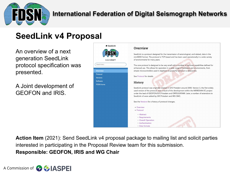

#### **International Federation of Digital Seismograph Networks**

#### **SeedLink v4 Proposal**

An overview of a next generation SeedLink protocol specification was presented.

A Joint development of GEOFON and IRIS.



**Action Item** (2021): Send SeedLink v4 proposal package to mailing list and solicit parties interested in participating in the Proposal Review team for this submission. **Responsible: GEOFON, IRIS and WG Chair**

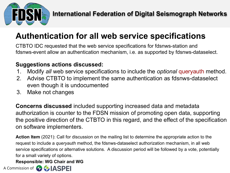

### **Authentication for all web service specifications**

CTBTO IDC requested that the web service specifications for fdsnws-station and fdsnws-event allow an authentication mechanism, i.e. as supported by fdsnws-dataselect.

#### **Suggestions actions discussed:**

- 1. Modify *all* web service specifications to include the *optional* queryauth method.
- 2. Advise CTBTO to implement the same authentication as fdsnws-dataselect even though it is undocumented
- 3. Make not changes

**Concerns discussed** included supporting increased data and metadata authorization is counter to the FDSN mission of promoting open data, supporting the positive direction of the CTBTO in this regard, and the effect of the specification on software implementers.

**Action Item** (2021): Call for discussion on the mailing list to determine the appropriate action to the request to include a *queryauth* method, the fdsnws-dataselect authorization mechanism, in all web service specifications or alternative solutions. A discussion period will be followed by a vote, potentially for a small variety of options.

**Responsible: WG Chair and WG**

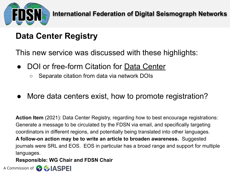

### **Data Center Registry**

This new service was discussed with these highlights:

- DOI or free-form Citation for Data Center
	- Separate citation from data via network DOIs
- More data centers exist, how to promote registration?

**Action Item** (2021): Data Center Registry, regarding how to best encourage registrations: Generate a message to be circulated by the FDSN via email, and specifically targeting coordinators in different regions, and potentially being translated into other languages. **A follow-on action may be to write an article to broaden awareness.** Suggested journals were SRL and EOS. EOS in particular has a broad range and support for multiple languages.

#### **Responsible: WG Chair and FDSN Chair**

A Commission of **CALASPEI**